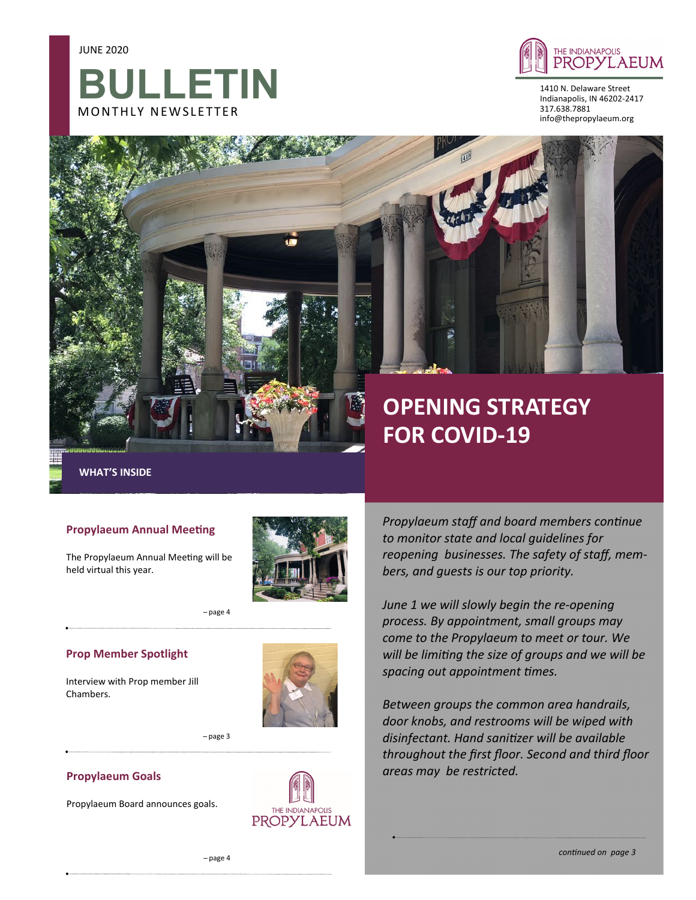



1410 N. Delaware Street Indianapolis, IN 46202‐2417 317.638.7881 info@thepropylaeum.org



# **OPENING STRATEGY FOR COVID‐19**

**WHAT'S INSIDE** 

### **Propylaeum Annual Meeting**

The Propylaeum Annual Meeting will be held virtual this year.



– page 4

### **Prop Member Spotlight**

Interview with Prop member Jill Chambers.



– page 3

̶ page 4

### **Propylaeum Goals**

Propylaeum Board announces goals.



**Propylaeum staff** and board members continue *to monitor state and local guidelines for reopening businesses. The safety of staff, members, and guests is our top priority.* 

*June 1 we will slowly begin the re-opening process. By appointment, small groups may come to the Propylaeum to meet or tour. We will be limiƟng the size of groups and we will be spacing out appointment Ɵmes.* 

*Between groups the common area handrails, door knobs, and restrooms will be wiped with disinfectant. Hand saniƟzer will be available throughout the first floor. Second and third floor areas may be restricted.* 

*conƟnued on page 3*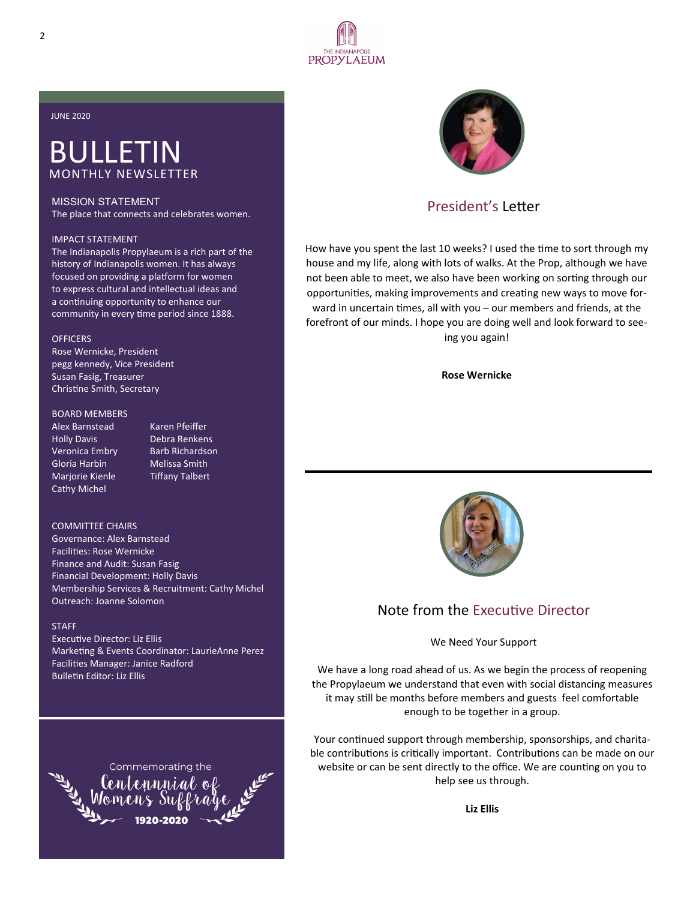

JUNE 2020

## BULLETIN MONTHLY NEWSLETTER

### MISSION STATEMENT

The place that connects and celebrates women.

#### IMPACT STATEMENT

The Indianapolis Propylaeum is a rich part of the history of Indianapolis women. It has always focused on providing a platform for women to express cultural and intellectual ideas and a continuing opportunity to enhance our community in every time period since 1888.

#### **OFFICERS**

Rose Wernicke, President pegg kennedy, Vice President Susan Fasig, Treasurer Christine Smith, Secretary

#### BOARD MEMBERS

Alex Barnstead Karen Pfeiffer Holly Davis Debra Renkens Veronica Embry Barb Richardson Gloria Harbin Melissa Smith Marjorie Kienle **Tiffany Talbert** Cathy Michel

### COMMITTEE CHAIRS

Governance: Alex Barnstead Facilities: Rose Wernicke Finance and Audit: Susan Fasig Financial Development: Holly Davis Membership Services & Recruitment: Cathy Michel Outreach: Joanne Solomon

### **STAFF**

ExecuƟve Director: Liz Ellis Marketing & Events Coordinator: LaurieAnne Perez FaciliƟes Manager: Janice Radford Bulletin Editor: Liz Ellis





### President's Letter

How have you spent the last 10 weeks? I used the time to sort through my house and my life, along with lots of walks. At the Prop, although we have not been able to meet, we also have been working on sorting through our opportunities, making improvements and creating new ways to move forward in uncertain times, all with you – our members and friends, at the forefront of our minds. I hope you are doing well and look forward to see‐ ing you again!

### **Rose Wernicke**



### Note from the Executive Director

We Need Your Support

We have a long road ahead of us. As we begin the process of reopening the Propylaeum we understand that even with social distancing measures it may sƟll be months before members and guests feel comfortable enough to be together in a group.

Your continued support through membership, sponsorships, and charitable contributions is critically important. Contributions can be made on our website or can be sent directly to the office. We are counting on you to help see us through.

**Liz Ellis**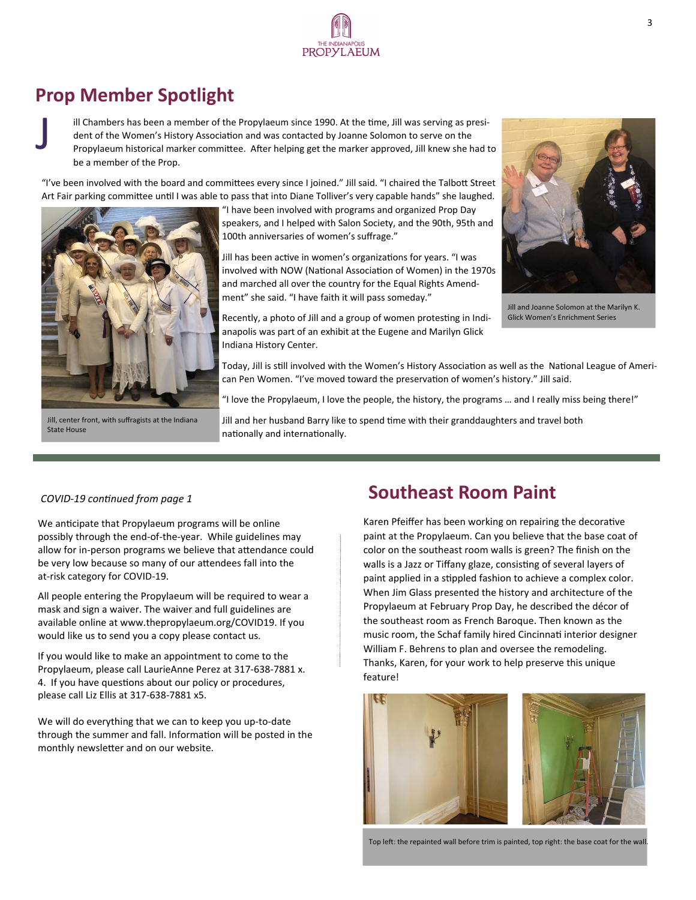

## **Prop Member Spotlight**

J

ill Chambers has been a member of the Propylaeum since 1990. At the time, Jill was serving as president of the Women's History Association and was contacted by Joanne Solomon to serve on the Propylaeum historical marker committee. After helping get the marker approved, Jill knew she had to be a member of the Prop.

"I've been involved with the board and committees every since I joined." Jill said. "I chaired the Talbott Street Art Fair parking committee until I was able to pass that into Diane Tolliver's very capable hands" she laughed.



"I have been involved with programs and organized Prop Day speakers, and I helped with Salon Society, and the 90th, 95th and 100th anniversaries of women's suffrage."

Jill has been active in women's organizations for years. "I was involved with NOW (National Association of Women) in the 1970s and marched all over the country for the Equal Rights Amend‐ ment" she said. "I have faith it will pass someday."



Jill and Joanne Solomon at the Marilyn K. Glick Women's Enrichment Series

Recently, a photo of Jill and a group of women protesting in Indianapolis was part of an exhibit at the Eugene and Marilyn Glick Indiana History Center.

Today, Jill is still involved with the Women's History Association as well as the National League of American Pen Women. "I've moved toward the preservation of women's history." Jill said.

"I love the Propylaeum, I love the people, the history, the programs … and I really miss being there!"

Jill and her husband Barry like to spend time with their granddaughters and travel both nationally and internationally.

### *COVID-19 conƟnued from page 1*

Jill, center front, with suffragists at the Indiana

State House

We anticipate that Propylaeum programs will be online possibly through the end‐of‐the‐year. While guidelines may allow for in-person programs we believe that attendance could be very low because so many of our attendees fall into the at‐risk category for COVID‐19.

All people entering the Propylaeum will be required to wear a mask and sign a waiver. The waiver and full guidelines are available online at www.thepropylaeum.org/COVID19. If you would like us to send you a copy please contact us.

If you would like to make an appointment to come to the Propylaeum, please call LaurieAnne Perez at 317‐638‐7881 x. 4. If you have questions about our policy or procedures, please call Liz Ellis at 317‐638‐7881 x5.

We will do everything that we can to keep you up‐to‐date through the summer and fall. Information will be posted in the monthly newsletter and on our website.

### **Southeast Room Paint**

Karen Pfeiffer has been working on repairing the decorative paint at the Propylaeum. Can you believe that the base coat of color on the southeast room walls is green? The finish on the walls is a Jazz or Tiffany glaze, consisting of several layers of paint applied in a stippled fashion to achieve a complex color. When Jim Glass presented the history and architecture of the Propylaeum at February Prop Day, he described the décor of the southeast room as French Baroque. Then known as the music room, the Schaf family hired Cincinnati interior designer William F. Behrens to plan and oversee the remodeling. Thanks, Karen, for your work to help preserve this unique feature!



Top left: the repainted wall before trim is painted, top right: the base coat for the wall.